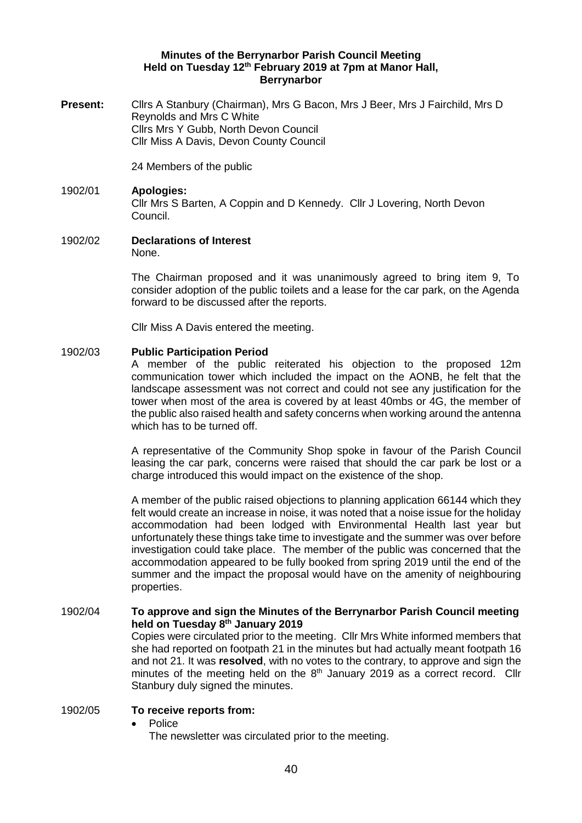## **Minutes of the Berrynarbor Parish Council Meeting Held on Tuesday 12th February 2019 at 7pm at Manor Hall, Berrynarbor**

**Present:** Clirs A Stanbury (Chairman), Mrs G Bacon, Mrs J Beer, Mrs J Fairchild, Mrs D Reynolds and Mrs C White Cllrs Mrs Y Gubb, North Devon Council Cllr Miss A Davis, Devon County Council

24 Members of the public

# 1902/01 **Apologies:** Cllr Mrs S Barten, A Coppin and D Kennedy. Cllr J Lovering, North Devon Council.

1902/02 **Declarations of Interest**

None.

The Chairman proposed and it was unanimously agreed to bring item 9, To consider adoption of the public toilets and a lease for the car park, on the Agenda forward to be discussed after the reports.

Cllr Miss A Davis entered the meeting.

# 1902/03 **Public Participation Period**

A member of the public reiterated his objection to the proposed 12m communication tower which included the impact on the AONB, he felt that the landscape assessment was not correct and could not see any justification for the tower when most of the area is covered by at least 40mbs or 4G, the member of the public also raised health and safety concerns when working around the antenna which has to be turned off.

A representative of the Community Shop spoke in favour of the Parish Council leasing the car park, concerns were raised that should the car park be lost or a charge introduced this would impact on the existence of the shop.

A member of the public raised objections to planning application 66144 which they felt would create an increase in noise, it was noted that a noise issue for the holiday accommodation had been lodged with Environmental Health last year but unfortunately these things take time to investigate and the summer was over before investigation could take place. The member of the public was concerned that the accommodation appeared to be fully booked from spring 2019 until the end of the summer and the impact the proposal would have on the amenity of neighbouring properties.

### 1902/04 **To approve and sign the Minutes of the Berrynarbor Parish Council meeting held on Tuesday 8 th January 2019**

Copies were circulated prior to the meeting. Cllr Mrs White informed members that she had reported on footpath 21 in the minutes but had actually meant footpath 16 and not 21. It was **resolved**, with no votes to the contrary, to approve and sign the minutes of the meeting held on the  $8<sup>th</sup>$  January 2019 as a correct record. Cllr Stanbury duly signed the minutes.

# 1902/05 **To receive reports from:**

• Police

The newsletter was circulated prior to the meeting.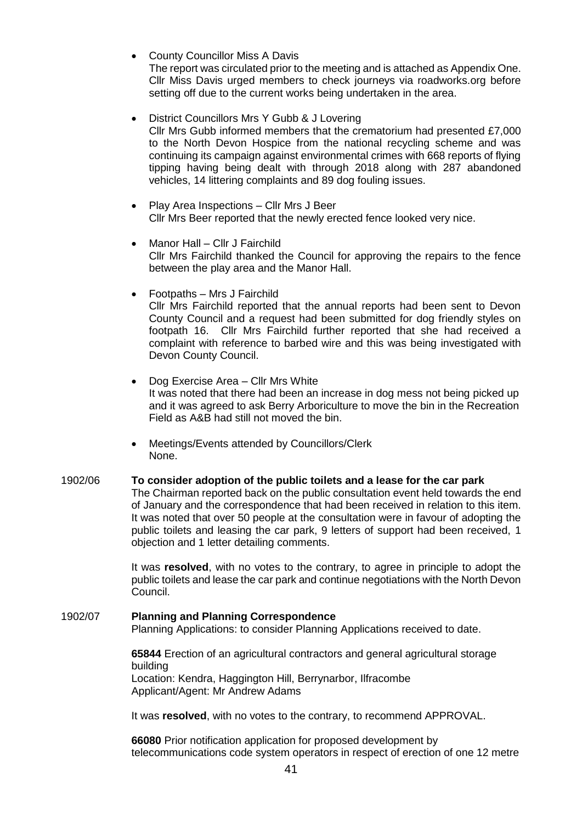- **County Councillor Miss A Davis** The report was circulated prior to the meeting and is attached as Appendix One. Cllr Miss Davis urged members to check journeys via roadworks.org before setting off due to the current works being undertaken in the area.
- District Councillors Mrs Y Gubb & J Lovering Cllr Mrs Gubb informed members that the crematorium had presented £7,000 to the North Devon Hospice from the national recycling scheme and was continuing its campaign against environmental crimes with 668 reports of flying tipping having being dealt with through 2018 along with 287 abandoned vehicles, 14 littering complaints and 89 dog fouling issues.
- Play Area Inspections Cllr Mrs J Beer Cllr Mrs Beer reported that the newly erected fence looked very nice.
- Manor Hall Cllr J Fairchild Cllr Mrs Fairchild thanked the Council for approving the repairs to the fence between the play area and the Manor Hall.
- Footpaths Mrs J Fairchild Cllr Mrs Fairchild reported that the annual reports had been sent to Devon County Council and a request had been submitted for dog friendly styles on footpath 16. Cllr Mrs Fairchild further reported that she had received a complaint with reference to barbed wire and this was being investigated with Devon County Council.
- Dog Exercise Area Cllr Mrs White It was noted that there had been an increase in dog mess not being picked up and it was agreed to ask Berry Arboriculture to move the bin in the Recreation Field as A&B had still not moved the bin.
- Meetings/Events attended by Councillors/Clerk None.

# 1902/06 **To consider adoption of the public toilets and a lease for the car park**

The Chairman reported back on the public consultation event held towards the end of January and the correspondence that had been received in relation to this item. It was noted that over 50 people at the consultation were in favour of adopting the public toilets and leasing the car park, 9 letters of support had been received, 1 objection and 1 letter detailing comments.

It was **resolved**, with no votes to the contrary, to agree in principle to adopt the public toilets and lease the car park and continue negotiations with the North Devon Council.

#### 1902/07 **Planning and Planning Correspondence** Planning Applications: to consider Planning Applications received to date.

**65844** Erection of an agricultural contractors and general agricultural storage building Location: Kendra, Haggington Hill, Berrynarbor, Ilfracombe Applicant/Agent: Mr Andrew Adams

It was **resolved**, with no votes to the contrary, to recommend APPROVAL.

**66080** Prior notification application for proposed development by telecommunications code system operators in respect of erection of one 12 metre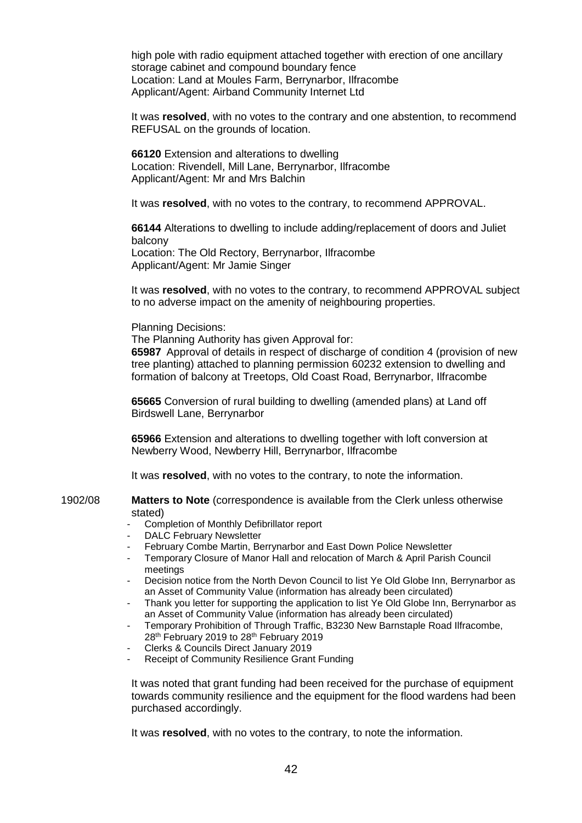high pole with radio equipment attached together with erection of one ancillary storage cabinet and compound boundary fence Location: Land at Moules Farm, Berrynarbor, Ilfracombe Applicant/Agent: Airband Community Internet Ltd

It was **resolved**, with no votes to the contrary and one abstention, to recommend REFUSAL on the grounds of location.

**66120** Extension and alterations to dwelling Location: Rivendell, Mill Lane, Berrynarbor, Ilfracombe Applicant/Agent: Mr and Mrs Balchin

It was **resolved**, with no votes to the contrary, to recommend APPROVAL.

**66144** Alterations to dwelling to include adding/replacement of doors and Juliet balcony Location: The Old Rectory, Berrynarbor, Ilfracombe Applicant/Agent: Mr Jamie Singer

It was **resolved**, with no votes to the contrary, to recommend APPROVAL subject to no adverse impact on the amenity of neighbouring properties.

#### Planning Decisions:

The Planning Authority has given Approval for:

**65987** Approval of details in respect of discharge of condition 4 (provision of new tree planting) attached to planning permission 60232 extension to dwelling and formation of balcony at Treetops, Old Coast Road, Berrynarbor, Ilfracombe

**65665** Conversion of rural building to dwelling (amended plans) at Land off Birdswell Lane, Berrynarbor

**65966** Extension and alterations to dwelling together with loft conversion at Newberry Wood, Newberry Hill, Berrynarbor, Ilfracombe

It was **resolved**, with no votes to the contrary, to note the information.

1902/08 **Matters to Note** (correspondence is available from the Clerk unless otherwise stated)

- Completion of Monthly Defibrillator report
- DALC February Newsletter
- February Combe Martin, Berrynarbor and East Down Police Newsletter
- Temporary Closure of Manor Hall and relocation of March & April Parish Council meetings
- Decision notice from the North Devon Council to list Ye Old Globe Inn, Berrynarbor as an Asset of Community Value (information has already been circulated)
- Thank you letter for supporting the application to list Ye Old Globe Inn, Berrynarbor as an Asset of Community Value (information has already been circulated)
- Temporary Prohibition of Through Traffic, B3230 New Barnstaple Road Ilfracombe, 28th February 2019 to 28th February 2019
- Clerks & Councils Direct January 2019
- Receipt of Community Resilience Grant Funding

It was noted that grant funding had been received for the purchase of equipment towards community resilience and the equipment for the flood wardens had been purchased accordingly.

It was **resolved**, with no votes to the contrary, to note the information.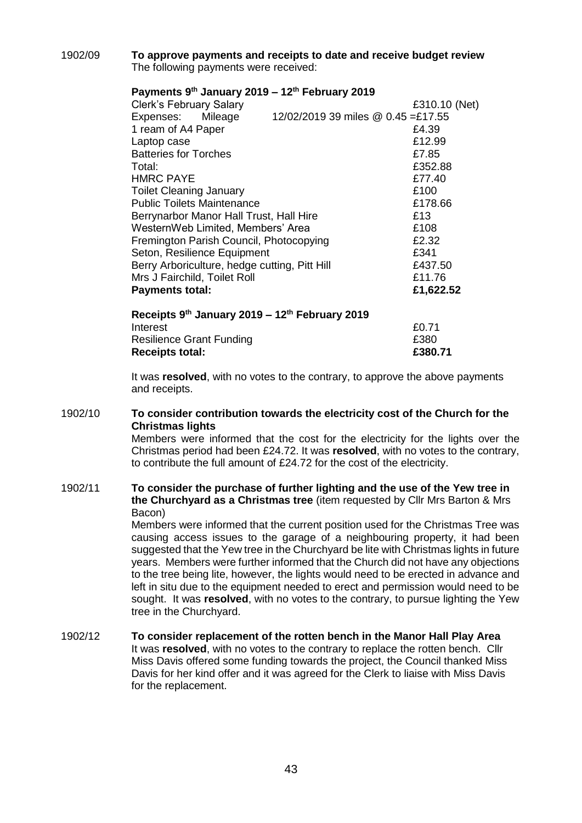## 1902/09 **To approve payments and receipts to date and receive budget review** The following payments were received:

# **Payments 9th January 2019 – 12th February 2019**

| <b>Clerk's February Salary</b>                 |                                    | £310.10 (Net) |
|------------------------------------------------|------------------------------------|---------------|
| Expenses: Mileage                              | 12/02/2019 39 miles @ 0.45 =£17.55 |               |
| 1 ream of A4 Paper                             |                                    | £4.39         |
| Laptop case                                    |                                    | £12.99        |
| <b>Batteries for Torches</b>                   |                                    | £7.85         |
| Total:                                         |                                    | £352.88       |
| <b>HMRC PAYE</b>                               |                                    | £77.40        |
| <b>Toilet Cleaning January</b>                 |                                    | £100          |
| <b>Public Toilets Maintenance</b>              |                                    | £178.66       |
| Berrynarbor Manor Hall Trust, Hall Hire        |                                    | £13           |
| WesternWeb Limited, Members' Area              |                                    | £108          |
| Fremington Parish Council, Photocopying        |                                    | £2.32         |
| Seton, Resilience Equipment                    |                                    | £341          |
| Berry Arboriculture, hedge cutting, Pitt Hill  |                                    | £437.50       |
| Mrs J Fairchild, Toilet Roll                   |                                    | £11.76        |
| <b>Payments total:</b>                         |                                    | £1,622.52     |
| Receipts 9th January 2019 - 12th February 2019 |                                    |               |
| Interest                                       |                                    | £0.71         |

It was **resolved**, with no votes to the contrary, to approve the above payments and receipts.

#### 1902/10 **To consider contribution towards the electricity cost of the Church for the Christmas lights**

Resilience Grant Funding **EXALL EXALL RESILIENCE** E380 Receipts total: **E380.71** 

Members were informed that the cost for the electricity for the lights over the Christmas period had been £24.72. It was **resolved**, with no votes to the contrary, to contribute the full amount of £24.72 for the cost of the electricity.

## 1902/11 **To consider the purchase of further lighting and the use of the Yew tree in the Churchyard as a Christmas tree** (item requested by Cllr Mrs Barton & Mrs Bacon)

Members were informed that the current position used for the Christmas Tree was causing access issues to the garage of a neighbouring property, it had been suggested that the Yew tree in the Churchyard be lite with Christmas lights in future years. Members were further informed that the Church did not have any objections to the tree being lite, however, the lights would need to be erected in advance and left in situ due to the equipment needed to erect and permission would need to be sought. It was **resolved**, with no votes to the contrary, to pursue lighting the Yew tree in the Churchyard.

## 1902/12 **To consider replacement of the rotten bench in the Manor Hall Play Area**  It was **resolved**, with no votes to the contrary to replace the rotten bench. Cllr Miss Davis offered some funding towards the project, the Council thanked Miss Davis for her kind offer and it was agreed for the Clerk to liaise with Miss Davis for the replacement.